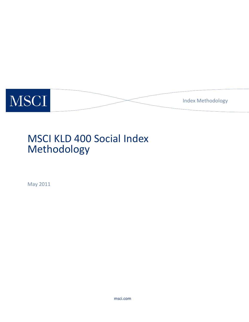

# MSCI KLD 400 Social Index Methodology

May 2011

msci.com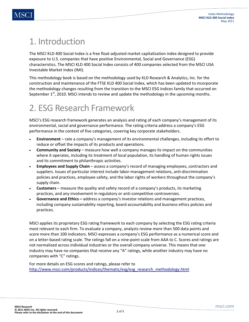## 1. Introduction

The MSCI KLD 400 Social Index is a free float-adjusted market capitalization index designed to provide exposure to U.S. companies that have positive Environmental, Social and Governance (ESG) characteristics. The MSCI KLD 400 Social Index consists of 400 companies selected from the MSCI USA Investable Market Index (IMI).

This methodology book is based on the methodology used by KLD Research & Analytics, Inc. for the construction and maintenance of the FTSE KLD 400 Social Index, which has been updated to incorporate the methodology changes resulting from the transition to the MSCI ESG Indices family that occurred on September  $1<sup>st</sup>$ , 2010. MSCI intends to review and update the methodology in the upcoming months.

# 2. ESG Research Framework

MSCI's ESG research framework generates an analysis and rating of each company's management of its environmental, social and governance performance. The rating criteria address a company's ESG performance in the context of five categories, covering key corporate stakeholders.

- **Environment**  rate a company's management of its environmental challenges, including its effort to reduce or offset the impacts of its products and operations.
- **Community and Society** measure how well a company manages its impact on the communities where it operates, including its treatment of local population, its handling of human rights issues and its commitment to philanthropic activities.
- **Employees and Supply Chain** assess a company's record of managing employees, contractors and suppliers. Issues of particular interest include labor-management relations, anti-discrimination policies and practices, employee safety, and the labor rights of workers throughout the company's supply chain.
- **Customers** measure the quality and safety record of a company's products, its marketing practices, and any involvement in regulatory or anti-competitive controversies.
- **Governance and Ethics** address a company's investor relations and management practices, including company sustainability reporting, board accountability and business ethics policies and practices.

MSCI applies its proprietary ESG rating framework to each company by selecting the ESG rating criteria most relevant to each firm. To evaluate a company, analysts review more than 500 data points and score more than 100 indicators. MSCI expresses a company's ESG performance as a numerical score and on a letter-based rating scale. The ratings fall on a nine-point scale from AAA to C. Scores and ratings are not normalized across individual industries or the overall company universe. This means that one industry may have no companies that receive any "A" ratings, while another industry may have no companies with "C" ratings.

For more details on ESG scores and ratings, please refer to http://www.msci.com/products/indices/thematic/esg/esg\_research\_methodology.html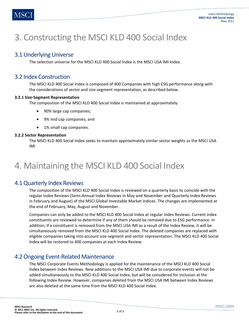## 3. Constructing the MSCI KLD 400 Social Index

### 3.1 Underlying Universe

The selection universe for the MSCI KLD 400 Social Index is the MSCI USA IMI Index.

### 3.2 Index Construction

The MSCI KLD 400 Social Index is composed of 400 Companies with high ESG performance along with the considerations of sector and size-segment representation, as described below.

#### **3.2.1 Size-Segment Representation**

The composition of the MSCI KLD 400 Social Index is maintained at approximately:

- 90% large cap companies;
- 9% mid cap companies; and
- 1% small cap companies.

#### **3.2.2 Sector Representation**

The MSCI KLD 400 Social Index seeks to maintain approximately similar sector weights as the MSCI USA IMI

## 4. Maintaining the MSCI KLD 400 Social Index

### 4.1 Quarterly Index Reviews

The composition of the MSCI KLD 400 Social Index is reviewed on a quarterly basis to coincide with the regular Index Reviews (Semi-Annual Index Reviews in May and November and Quarterly Index Reviews in February and August) of the MSCI Global Investable Market Indices. The changes are implemented at the end of February, May, August and November.

Companies can only be added to the MSCI KLD 400 Social Index at regular Index Reviews. Current index constituents are reviewed to determine if any of them should be removed due to ESG performance. In addition, if a constituent is removed from the MSCI USA IMI as a result of the Index Review, it will be simultaneously removed from the MSCI KLD 400 Social Index. The deleted companies are replaced with eligible companies taking into account size-segment and sector representation. The MSCI KLD 400 Social Index will be restored to 400 companies at each Index Review.

### 4.2 Ongoing Event-Related Maintenance

The MSCI Corporate Events Methodology is applied for the maintenance of the MSCI KLD 400 Social Index between Index Reviews. New additions to the MSCI USA IMI due to corporate events will not be added simultaneously to the MSCI KLD 400 Social Index, but will be considered for inclusion at the following Index Review. However, companies deleted from the MSCI USA IMI between Index Reviews are also deleted at the same time from the MSCI KLD 400 Social Index.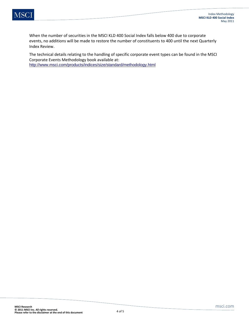

When the number of securities in the MSCI KLD 400 Social Index falls below 400 due to corporate events, no additions will be made to restore the number of constituents to 400 until the next Quarterly Index Review.

The technical details relating to the handling of specific corporate event types can be found in the MSCI Corporate Events Methodology book available at: http://www.msci.com/products/indices/size/standard/methodology.html